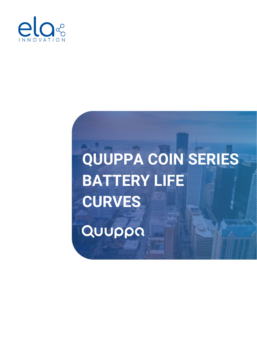

## **QUUPPA COIN SERIES BATTERY LIFE CURVES**Quuppa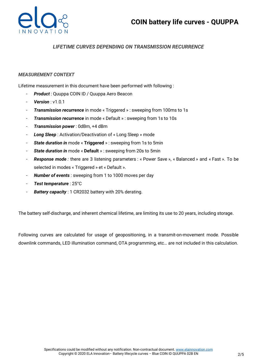

## *LIFETIME CURVES DEPENDING ON TRANSMISSION RECURRENCE*

## *MEASUREMENT CONTEXT*

Lifetime measurement in this document have been performed with following :

- *Product* : Quuppa COIN ID / Quuppa Aero Beacon
- **Version**: v1.0.1
- *Transmission recurrence* in mode « Triggered » : sweeping from 100ms to 1s
- *Transmission recurrence* in mode « Default » : sweeping from 1s to 10s
- *Transmission power* : 0dBm, +4 dBm
- *Long Sleep* : Activation/Deactivation of « Long Sleep » mode
- *State duration in* mode « **Triggered** » : sweeping from 1s to 5min
- *State duration in* mode « **Default** » : sweeping from 20s to 5min
- *Response mode :* there are 3 listening parameters : « Power Save », « Balanced » and « Fast ». To be selected in modes « Triggered » et « Default ».
- **Number of events**: sweeping from 1 to 1000 moves per day
- *Test temperature* : 25°C
- **Battery capacity**: 1 CR2032 battery with 20% derating.

The battery self-discharge, and inherent chemical lifetime, are limiting its use to 20 years, including storage.

Following curves are calculated for usage of geopositioning, in a transmit-on-movement mode. Possible downlink commands, LED illumination command, OTA programming, etc… are not included in this calculation.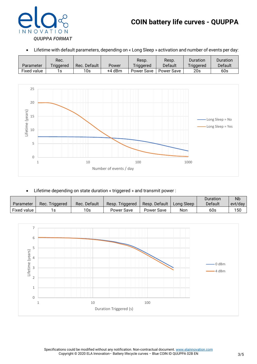

• Lifetime with default parameters, depending on « Long Sleep » activation and number of events per day:

| Parameter          | Rec.<br>Triggered | Rec. Default | Power  | Resp.<br>Triggered | Resp.<br>Default | Duration<br>Triggered | Duration<br>Default |
|--------------------|-------------------|--------------|--------|--------------------|------------------|-----------------------|---------------------|
| <b>Fixed value</b> | s                 | 10s          | +4 dBm | Power Save         | Power Save       | 20s                   | 60s                 |



• Lifetime depending on state duration « triggered » and transmit power :

|             |                |              |                    |               |            | Duration | <b>Nb</b> |
|-------------|----------------|--------------|--------------------|---------------|------------|----------|-----------|
| Parameter   | Rec. Triggered | Rec. Default | Triggered<br>Resp. | Resp. Default | Lona Sleep | Default  | evt/day   |
| Fixed value |                | 10s          | <b>Power Save</b>  | Power Save    | Non        | 60s      | 150       |

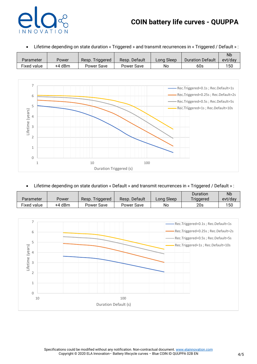## **COIN battery life curves - QUUPPA**



• Lifetime depending on state duration « Triggered » and transmit recurrences in « Triggered / Default » :

|             |        |                    |               |            |                         | Nb      |
|-------------|--------|--------------------|---------------|------------|-------------------------|---------|
| Parameter   | Power  | Triggered<br>Resp. | Resp. Default | Long Sleep | <b>Duration Default</b> | evt/dav |
| Fixed value | +4 dBm | Power Save         | Power Save    | No         | 60s                     | 150     |



• Lifetime depending on state duration « Default » and transmit recurrences in « Triggered / Default » :

|             |        |                    |               |            | Duration  | Nb      |
|-------------|--------|--------------------|---------------|------------|-----------|---------|
| Parameter   | Power  | Triggered<br>Resp. | Resp. Default | Long Sleep | Triggered | evt/day |
| Fixed value | +4 dBm | Power Save         | Power Save    | No         | 20s       | 150     |